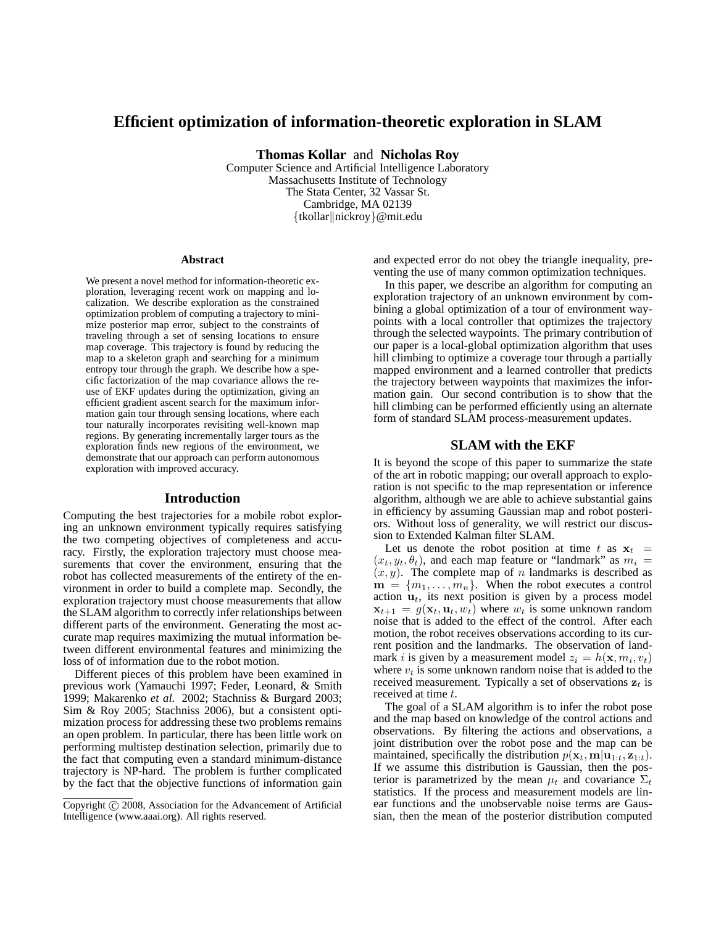# **Efficient optimization of information-theoretic exploration in SLAM**

**Thomas Kollar** and **Nicholas Roy**

Computer Science and Artificial Intelligence Laboratory Massachusetts Institute of Technology The Stata Center, 32 Vassar St. Cambridge, MA 02139 {tkollar||nickroy}@mit.edu

#### **Abstract**

We present a novel method for information-theoretic exploration, leveraging recent work on mapping and localization. We describe exploration as the constrained optimization problem of computing a trajectory to minimize posterior map error, subject to the constraints of traveling through a set of sensing locations to ensure map coverage. This trajectory is found by reducing the map to a skeleton graph and searching for a minimum entropy tour through the graph. We describe how a specific factorization of the map covariance allows the reuse of EKF updates during the optimization, giving an efficient gradient ascent search for the maximum information gain tour through sensing locations, where each tour naturally incorporates revisiting well-known map regions. By generating incrementally larger tours as the exploration finds new regions of the environment, we demonstrate that our approach can perform autonomous exploration with improved accuracy.

### **Introduction**

Computing the best trajectories for a mobile robot exploring an unknown environment typically requires satisfying the two competing objectives of completeness and accuracy. Firstly, the exploration trajectory must choose measurements that cover the environment, ensuring that the robot has collected measurements of the entirety of the environment in order to build a complete map. Secondly, the exploration trajectory must choose measurements that allow the SLAM algorithm to correctly infer relationships between different parts of the environment. Generating the most accurate map requires maximizing the mutual information between different environmental features and minimizing the loss of of information due to the robot motion.

Different pieces of this problem have been examined in previous work (Yamauchi 1997; Feder, Leonard, & Smith 1999; Makarenko *et al.* 2002; Stachniss & Burgard 2003; Sim & Roy 2005; Stachniss 2006), but a consistent optimization process for addressing these two problems remains an open problem. In particular, there has been little work on performing multistep destination selection, primarily due to the fact that computing even a standard minimum-distance trajectory is NP-hard. The problem is further complicated by the fact that the objective functions of information gain

and expected error do not obey the triangle inequality, preventing the use of many common optimization techniques.

In this paper, we describe an algorithm for computing an exploration trajectory of an unknown environment by combining a global optimization of a tour of environment waypoints with a local controller that optimizes the trajectory through the selected waypoints. The primary contribution of our paper is a local-global optimization algorithm that uses hill climbing to optimize a coverage tour through a partially mapped environment and a learned controller that predicts the trajectory between waypoints that maximizes the information gain. Our second contribution is to show that the hill climbing can be performed efficiently using an alternate form of standard SLAM process-measurement updates.

# **SLAM with the EKF**

It is beyond the scope of this paper to summarize the state of the art in robotic mapping; our overall approach to exploration is not specific to the map representation or inference algorithm, although we are able to achieve substantial gains in efficiency by assuming Gaussian map and robot posteriors. Without loss of generality, we will restrict our discussion to Extended Kalman filter SLAM.

Let us denote the robot position at time t as  $x_t$  =  $(x_t, y_t, \theta_t)$ , and each map feature or "landmark" as  $m_i =$  $(x, y)$ . The complete map of n landmarks is described as  $\mathbf{m} = \{m_1, \ldots, m_n\}$ . When the robot executes a control action  $\mathbf{u}_t$ , its next position is given by a process model  $\mathbf{x}_{t+1} = g(\mathbf{x}_t, \mathbf{u}_t, w_t)$  where  $w_t$  is some unknown random noise that is added to the effect of the control. After each motion, the robot receives observations according to its current position and the landmarks. The observation of landmark *i* is given by a measurement model  $z_i = h(\mathbf{x}, m_i, v_t)$ where  $v_t$  is some unknown random noise that is added to the received measurement. Typically a set of observations  $z_t$  is received at time t.

The goal of a SLAM algorithm is to infer the robot pose and the map based on knowledge of the control actions and observations. By filtering the actions and observations, a joint distribution over the robot pose and the map can be maintained, specifically the distribution  $p(\mathbf{x}_t, \mathbf{m} | \mathbf{u}_{1:t}, \mathbf{z}_{1:t}).$ If we assume this distribution is Gaussian, then the posterior is parametrized by the mean  $\mu_t$  and covariance  $\Sigma_t$ statistics. If the process and measurement models are linear functions and the unobservable noise terms are Gaussian, then the mean of the posterior distribution computed

Copyright  $\odot$  2008. Association for the Advancement of Artificial Intelligence (www.aaai.org). All rights reserved.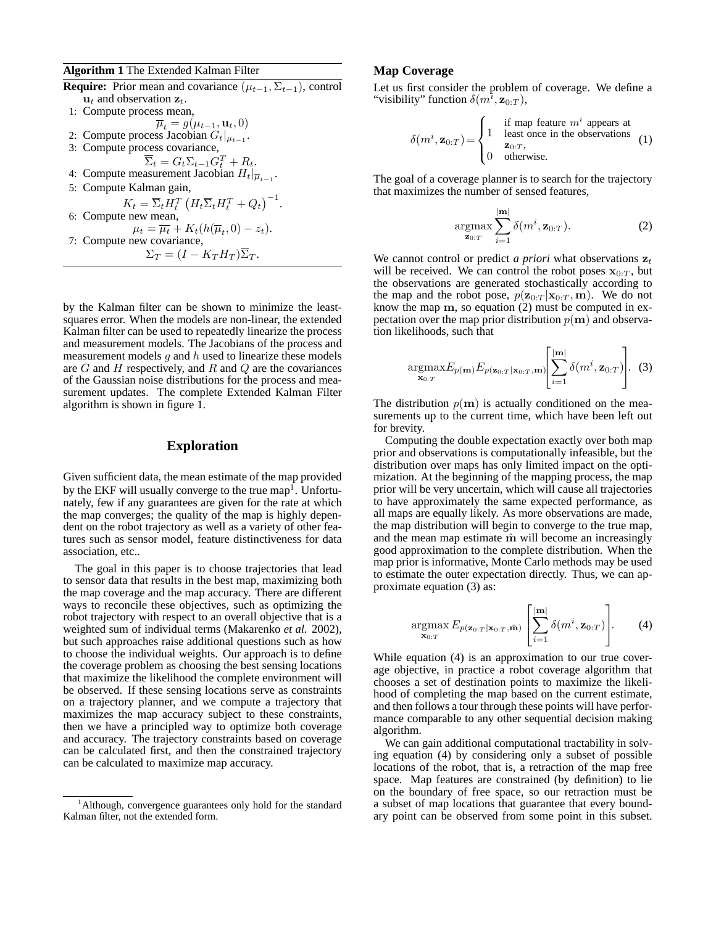## **Algorithm 1** The Extended Kalman Filter

**Require:** Prior mean and covariance  $(\mu_{t-1}, \Sigma_{t-1})$ , control  $\mathbf{u}_t$  and observation  $\mathbf{z}_t$ . 1: Compute process mean,

 $\overline{\mu}_t = g(\mu_{t-1}, \mathbf{u}_t, 0)$ 2: Compute process Jacobian  $G_t|_{\mu_{t-1}}$ . 3: Compute process covariance,  $\overline{\Sigma}_t = G_t \Sigma_{t-1} G_t^T + R_t.$ 4: Compute measurement Jacobian  $H_t|_{\overline{\mu}_{t-1}}$ . 5: Compute Kalman gain,  $K_t = \overline{\Sigma}_t H_t^T \left( H_t \overline{\Sigma}_t H_t^T + Q_t \right)^{-1}.$ 6: Compute new mean,  $\mu_t = \overline{\mu_t} + K_t(h(\overline{\mu}_t, 0) - z_t).$ 7: Compute new covariance,  $\Sigma_T = (I - K_T H_T) \overline{\Sigma}_T.$ 

by the Kalman filter can be shown to minimize the leastsquares error. When the models are non-linear, the extended Kalman filter can be used to repeatedly linearize the process and measurement models. The Jacobians of the process and measurement models  $q$  and  $h$  used to linearize these models are  $G$  and  $H$  respectively, and  $R$  and  $Q$  are the covariances of the Gaussian noise distributions for the process and measurement updates. The complete Extended Kalman Filter algorithm is shown in figure 1.

# **Exploration**

Given sufficient data, the mean estimate of the map provided by the EKF will usually converge to the true map<sup>1</sup>. Unfortunately, few if any guarantees are given for the rate at which the map converges; the quality of the map is highly dependent on the robot trajectory as well as a variety of other features such as sensor model, feature distinctiveness for data association, etc..

The goal in this paper is to choose trajectories that lead to sensor data that results in the best map, maximizing both the map coverage and the map accuracy. There are different ways to reconcile these objectives, such as optimizing the robot trajectory with respect to an overall objective that is a weighted sum of individual terms (Makarenko *et al.* 2002), but such approaches raise additional questions such as how to choose the individual weights. Our approach is to define the coverage problem as choosing the best sensing locations that maximize the likelihood the complete environment will be observed. If these sensing locations serve as constraints on a trajectory planner, and we compute a trajectory that maximizes the map accuracy subject to these constraints, then we have a principled way to optimize both coverage and accuracy. The trajectory constraints based on coverage can be calculated first, and then the constrained trajectory can be calculated to maximize map accuracy.

### **Map Coverage**

Let us first consider the problem of coverage. We define a "visibility" function  $\delta(m^i, \mathbf{z}_{0:T})$ ,

$$
\delta(m^i, \mathbf{z}_{0:T}) = \begin{cases}\n1 & \text{if map feature } m^i \text{ appears at} \\
1 & \text{least once in the observations} \\
0 & \text{otherwise.} \n\end{cases}
$$
\n(1)

The goal of a coverage planner is to search for the trajectory that maximizes the number of sensed features,

$$
\underset{\mathbf{z}_{0:T}}{\operatorname{argmax}} \sum_{i=1}^{|\mathbf{m}|} \delta(m^i, \mathbf{z}_{0:T}).
$$
 (2)

We cannot control or predict *a priori* what observations  $z_t$ will be received. We can control the robot poses  $x_{0:T}$ , but the observations are generated stochastically according to the map and the robot pose,  $p(\mathbf{z}_{0:T} | \mathbf{x}_{0:T}, \mathbf{m})$ . We do not know the map m, so equation (2) must be computed in expectation over the map prior distribution  $p(\mathbf{m})$  and observation likelihoods, such that

$$
\underset{\mathbf{x}_{0:T}}{\operatorname{argmax}} E_{p(\mathbf{m})} E_{p(\mathbf{z}_{0:T}|\mathbf{x}_{0:T},\mathbf{m})} \left[ \sum_{i=1}^{|\mathbf{m}|} \delta(m^i, \mathbf{z}_{0:T}) \right]. \tag{3}
$$

The distribution  $p(m)$  is actually conditioned on the measurements up to the current time, which have been left out for brevity.

Computing the double expectation exactly over both map prior and observations is computationally infeasible, but the distribution over maps has only limited impact on the optimization. At the beginning of the mapping process, the map prior will be very uncertain, which will cause all trajectories to have approximately the same expected performance, as all maps are equally likely. As more observations are made, the map distribution will begin to converge to the true map, and the mean map estimate  $\hat{m}$  will become an increasingly good approximation to the complete distribution. When the map prior is informative, Monte Carlo methods may be used to estimate the outer expectation directly. Thus, we can approximate equation (3) as:

$$
\underset{\mathbf{x}_{0:T}}{\operatorname{argmax}} E_{p(\mathbf{z}_{0:T}|\mathbf{x}_{0:T}, \hat{\mathbf{m}})} \left[\sum_{i=1}^{|\mathbf{m}|} \delta(m^i, \mathbf{z}_{0:T})\right]. \tag{4}
$$

While equation (4) is an approximation to our true coverage objective, in practice a robot coverage algorithm that chooses a set of destination points to maximize the likelihood of completing the map based on the current estimate, and then follows a tour through these points will have performance comparable to any other sequential decision making algorithm.

We can gain additional computational tractability in solving equation (4) by considering only a subset of possible locations of the robot, that is, a retraction of the map free space. Map features are constrained (by definition) to lie on the boundary of free space, so our retraction must be a subset of map locations that guarantee that every boundary point can be observed from some point in this subset.

<sup>&</sup>lt;sup>1</sup>Although, convergence guarantees only hold for the standard Kalman filter, not the extended form.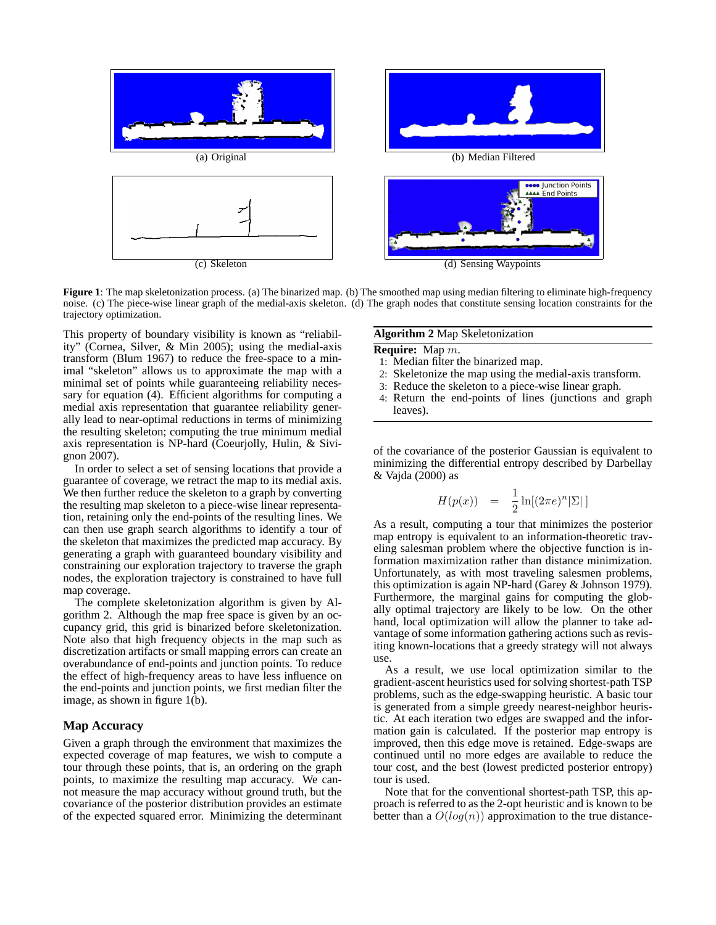

**Figure 1**: The map skeletonization process. (a) The binarized map. (b) The smoothed map using median filtering to eliminate high-frequency noise. (c) The piece-wise linear graph of the medial-axis skeleton. (d) The graph nodes that constitute sensing location constraints for the trajectory optimization.

This property of boundary visibility is known as "reliability" (Cornea, Silver, & Min 2005); using the medial-axis transform (Blum 1967) to reduce the free-space to a minimal "skeleton" allows us to approximate the map with a minimal set of points while guaranteeing reliability necessary for equation (4). Efficient algorithms for computing a medial axis representation that guarantee reliability generally lead to near-optimal reductions in terms of minimizing the resulting skeleton; computing the true minimum medial axis representation is NP-hard (Coeurjolly, Hulin, & Sivignon 2007).

In order to select a set of sensing locations that provide a guarantee of coverage, we retract the map to its medial axis. We then further reduce the skeleton to a graph by converting the resulting map skeleton to a piece-wise linear representation, retaining only the end-points of the resulting lines. We can then use graph search algorithms to identify a tour of the skeleton that maximizes the predicted map accuracy. By generating a graph with guaranteed boundary visibility and constraining our exploration trajectory to traverse the graph nodes, the exploration trajectory is constrained to have full map coverage.

The complete skeletonization algorithm is given by Algorithm 2. Although the map free space is given by an occupancy grid, this grid is binarized before skeletonization. Note also that high frequency objects in the map such as discretization artifacts or small mapping errors can create an overabundance of end-points and junction points. To reduce the effect of high-frequency areas to have less influence on the end-points and junction points, we first median filter the image, as shown in figure 1(b).

#### **Map Accuracy**

Given a graph through the environment that maximizes the expected coverage of map features, we wish to compute a tour through these points, that is, an ordering on the graph points, to maximize the resulting map accuracy. We cannot measure the map accuracy without ground truth, but the covariance of the posterior distribution provides an estimate of the expected squared error. Minimizing the determinant

## **Algorithm 2** Map Skeletonization

**Require:** Map m.

- 1: Median filter the binarized map.
- 2: Skeletonize the map using the medial-axis transform.
- 3: Reduce the skeleton to a piece-wise linear graph.
- 4: Return the end-points of lines (junctions and graph leaves).

of the covariance of the posterior Gaussian is equivalent to minimizing the differential entropy described by Darbellay & Vajda (2000) as

$$
H(p(x)) = \frac{1}{2}\ln[(2\pi e)^n|\Sigma|]
$$

As a result, computing a tour that minimizes the posterior map entropy is equivalent to an information-theoretic traveling salesman problem where the objective function is information maximization rather than distance minimization. Unfortunately, as with most traveling salesmen problems, this optimization is again NP-hard (Garey & Johnson 1979). Furthermore, the marginal gains for computing the globally optimal trajectory are likely to be low. On the other hand, local optimization will allow the planner to take advantage of some information gathering actions such as revisiting known-locations that a greedy strategy will not always use.

As a result, we use local optimization similar to the gradient-ascent heuristics used for solving shortest-path TSP problems, such as the edge-swapping heuristic. A basic tour is generated from a simple greedy nearest-neighbor heuristic. At each iteration two edges are swapped and the information gain is calculated. If the posterior map entropy is improved, then this edge move is retained. Edge-swaps are continued until no more edges are available to reduce the tour cost, and the best (lowest predicted posterior entropy) tour is used.

Note that for the conventional shortest-path TSP, this approach is referred to as the 2-opt heuristic and is known to be better than a  $O(log(n))$  approximation to the true distance-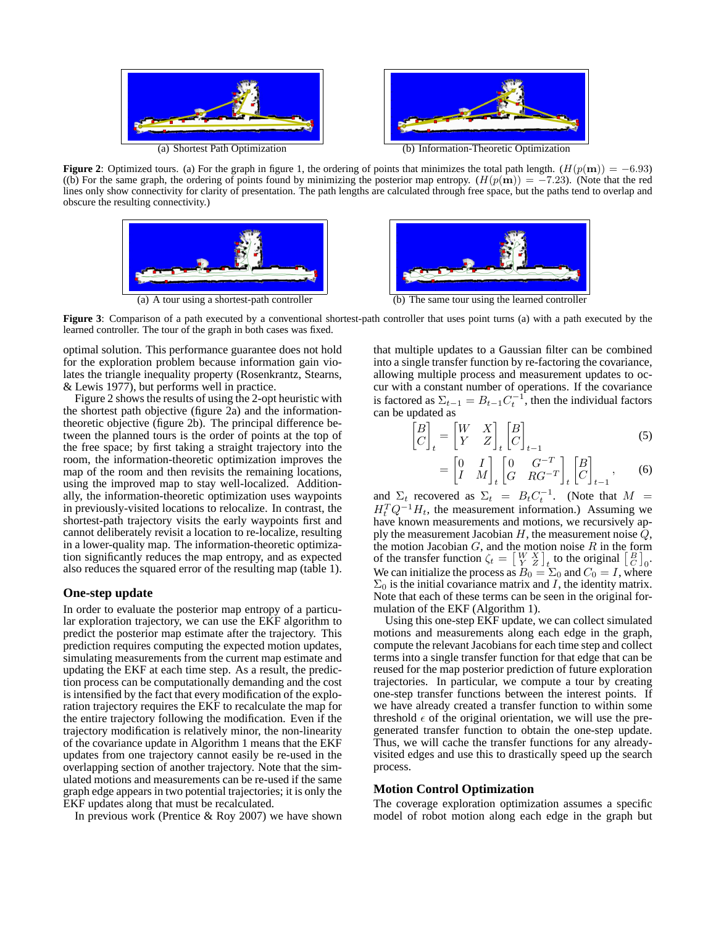

**Figure 2**: Optimized tours. (a) For the graph in figure 1, the ordering of points that minimizes the total path length.  $(H(p(m)) = -6.93)$ ((b) For the same graph, the ordering of points found by minimizing the posterior map entropy.  $(H(p(m)) = -7.23)$ . (Note that the red lines only show connectivity for clarity of presentation. The path lengths are calculated through free space, but the paths tend to overlap and obscure the resulting connectivity.)





**Figure 3**: Comparison of a path executed by a conventional shortest-path controller that uses point turns (a) with a path executed by the learned controller. The tour of the graph in both cases was fixed.

optimal solution. This performance guarantee does not hold for the exploration problem because information gain violates the triangle inequality property (Rosenkrantz, Stearns, & Lewis 1977), but performs well in practice.

Figure 2 shows the results of using the 2-opt heuristic with the shortest path objective (figure 2a) and the informationtheoretic objective (figure 2b). The principal difference between the planned tours is the order of points at the top of the free space; by first taking a straight trajectory into the room, the information-theoretic optimization improves the map of the room and then revisits the remaining locations, using the improved map to stay well-localized. Additionally, the information-theoretic optimization uses waypoints in previously-visited locations to relocalize. In contrast, the shortest-path trajectory visits the early waypoints first and cannot deliberately revisit a location to re-localize, resulting in a lower-quality map. The information-theoretic optimization significantly reduces the map entropy, and as expected also reduces the squared error of the resulting map (table 1).

## **One-step update**

In order to evaluate the posterior map entropy of a particular exploration trajectory, we can use the EKF algorithm to predict the posterior map estimate after the trajectory. This prediction requires computing the expected motion updates, simulating measurements from the current map estimate and updating the EKF at each time step. As a result, the prediction process can be computationally demanding and the cost is intensified by the fact that every modification of the exploration trajectory requires the EKF to recalculate the map for the entire trajectory following the modification. Even if the trajectory modification is relatively minor, the non-linearity of the covariance update in Algorithm 1 means that the EKF updates from one trajectory cannot easily be re-used in the overlapping section of another trajectory. Note that the simulated motions and measurements can be re-used if the same graph edge appears in two potential trajectories; it is only the EKF updates along that must be recalculated.

In previous work (Prentice  $& Roy 2007$ ) we have shown

that multiple updates to a Gaussian filter can be combined into a single transfer function by re-factoring the covariance, allowing multiple process and measurement updates to occur with a constant number of operations. If the covariance is factored as  $\Sigma_{t-1} = B_{t-1} C_t^{-1}$ , then the individual factors can be updated as

$$
\begin{bmatrix} B \\ C \end{bmatrix}_t = \begin{bmatrix} W & X \\ Y & Z \end{bmatrix}_t \begin{bmatrix} B \\ C \end{bmatrix}_{t-1}
$$
 (5)

$$
= \begin{bmatrix} 0 & I \\ I & M \end{bmatrix}_t \begin{bmatrix} 0 & G^{-T} \\ G & RG^{-T} \end{bmatrix}_t \begin{bmatrix} B \\ C \end{bmatrix}_{t-1}, \qquad (6)
$$

and  $\Sigma_t$  recovered as  $\Sigma_t = B_t C_t^{-1}$ . (Note that  $M =$  $H_t^T Q^{-1} H_t$ , the measurement information.) Assuming we have known measurements and motions, we recursively apply the measurement Jacobian  $H$ , the measurement noise  $Q$ , the motion Jacobian  $G$ , and the motion noise  $R$  in the form of the transfer function  $\zeta_t = \begin{bmatrix} W & X \\ Y & Z \end{bmatrix}_t$  to the original  $\begin{bmatrix} B \\ C \end{bmatrix}_0$ . We can initialize the process as  $B_0 = \Sigma_0$  and  $C_0 = I$ , where  $\Sigma_0$  is the initial covariance matrix and I, the identity matrix. Note that each of these terms can be seen in the original formulation of the EKF (Algorithm 1).

Using this one-step EKF update, we can collect simulated motions and measurements along each edge in the graph, compute the relevant Jacobians for each time step and collect terms into a single transfer function for that edge that can be reused for the map posterior prediction of future exploration trajectories. In particular, we compute a tour by creating one-step transfer functions between the interest points. If we have already created a transfer function to within some threshold  $\epsilon$  of the original orientation, we will use the pregenerated transfer function to obtain the one-step update. Thus, we will cache the transfer functions for any alreadyvisited edges and use this to drastically speed up the search process.

### **Motion Control Optimization**

The coverage exploration optimization assumes a specific model of robot motion along each edge in the graph but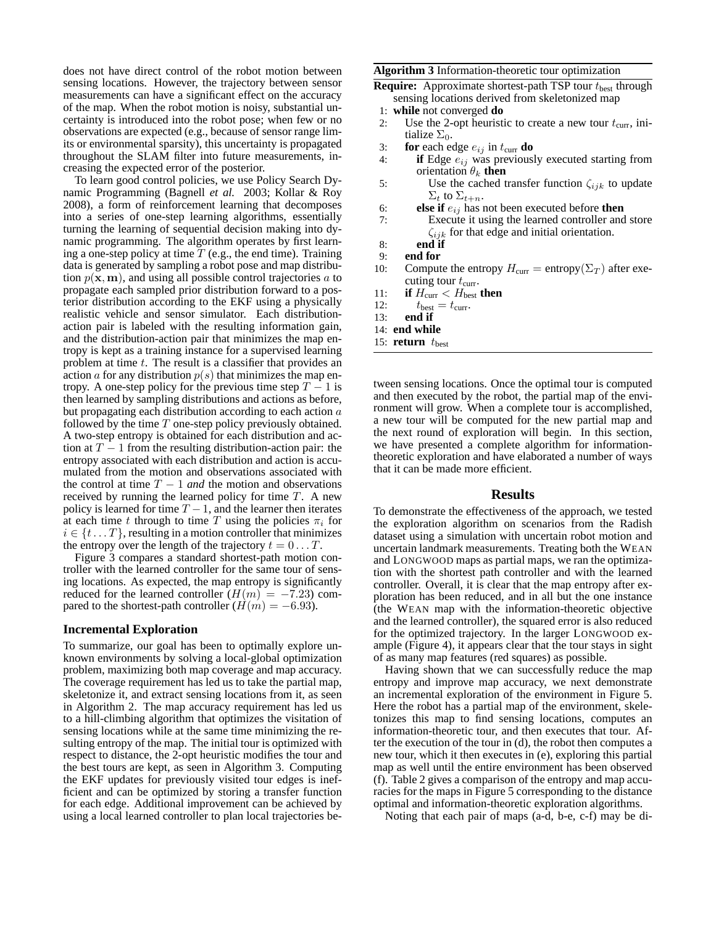does not have direct control of the robot motion between sensing locations. However, the trajectory between sensor measurements can have a significant effect on the accuracy of the map. When the robot motion is noisy, substantial uncertainty is introduced into the robot pose; when few or no observations are expected (e.g., because of sensor range limits or environmental sparsity), this uncertainty is propagated throughout the SLAM filter into future measurements, increasing the expected error of the posterior.

To learn good control policies, we use Policy Search Dynamic Programming (Bagnell *et al.* 2003; Kollar & Roy 2008), a form of reinforcement learning that decomposes into a series of one-step learning algorithms, essentially turning the learning of sequential decision making into dynamic programming. The algorithm operates by first learning a one-step policy at time  $T$  (e.g., the end time). Training data is generated by sampling a robot pose and map distribution  $p(\mathbf{x}, \mathbf{m})$ , and using all possible control trajectories a to propagate each sampled prior distribution forward to a posterior distribution according to the EKF using a physically realistic vehicle and sensor simulator. Each distributionaction pair is labeled with the resulting information gain, and the distribution-action pair that minimizes the map entropy is kept as a training instance for a supervised learning problem at time t. The result is a classifier that provides an action a for any distribution  $p(s)$  that minimizes the map entropy. A one-step policy for the previous time step  $T - 1$  is then learned by sampling distributions and actions as before, but propagating each distribution according to each action a followed by the time  $T$  one-step policy previously obtained. A two-step entropy is obtained for each distribution and action at  $T - 1$  from the resulting distribution-action pair: the entropy associated with each distribution and action is accumulated from the motion and observations associated with the control at time  $T - 1$  *and* the motion and observations received by running the learned policy for time T. A new policy is learned for time  $T - 1$ , and the learner then iterates at each time t through to time T using the policies  $\pi_i$  for  $i \in \{t \dots T\}$ , resulting in a motion controller that minimizes the entropy over the length of the trajectory  $t = 0 \dots T$ .

Figure 3 compares a standard shortest-path motion controller with the learned controller for the same tour of sensing locations. As expected, the map entropy is significantly reduced for the learned controller  $(H(m) = -7.23)$  compared to the shortest-path controller  $(H(m) = -6.93)$ .

### **Incremental Exploration**

To summarize, our goal has been to optimally explore unknown environments by solving a local-global optimization problem, maximizing both map coverage and map accuracy. The coverage requirement has led us to take the partial map, skeletonize it, and extract sensing locations from it, as seen in Algorithm 2. The map accuracy requirement has led us to a hill-climbing algorithm that optimizes the visitation of sensing locations while at the same time minimizing the resulting entropy of the map. The initial tour is optimized with respect to distance, the 2-opt heuristic modifies the tour and the best tours are kept, as seen in Algorithm 3. Computing the EKF updates for previously visited tour edges is inefficient and can be optimized by storing a transfer function for each edge. Additional improvement can be achieved by using a local learned controller to plan local trajectories be**Algorithm 3** Information-theoretic tour optimization

**Require:** Approximate shortest-path TSP tour  $t_{best}$  through sensing locations derived from skeletonized map

- 1: **while** not converged **do**
- 2: Use the 2-opt heuristic to create a new tour  $t_{\text{curr}}$ , initialize  $\Sigma_0$ .
- 3: **for** each edge  $e_{ij}$  in  $t_{\text{curr}}$  **do**<br>4: **if** Edge  $e_{ij}$  was previousl
- if Edge  $e_{ij}$  was previously executed starting from orientation  $\theta_k$  **then**
- 5: Use the cached transfer function  $\zeta_{ijk}$  to update  $\Sigma_t$  to  $\Sigma_{t+n}$ .
- 6: **else if**  $e_{ij}$  has not been executed before **then**<br>7: Execute it using the learned controller and
- Execute it using the learned controller and store  $\zeta_{ijk}$  for that edge and initial orientation.
- 8: **end if**
- 9: **end for**
- 10: Compute the entropy  $H_{\text{curr}} = \text{entropy}(\Sigma_T)$  after executing tour  $t_{\text{curr}}$ .
- 11: **if**  $H_{\text{curr}} < H_{\text{best}}$  then
- 12:  $t_{\text{best}} = t_{\text{curr}}$ .<br>13: **end if**
- end if
- 14: **end while**
- 15: **return**  $t_{\text{best}}$

tween sensing locations. Once the optimal tour is computed and then executed by the robot, the partial map of the environment will grow. When a complete tour is accomplished, a new tour will be computed for the new partial map and the next round of exploration will begin. In this section, we have presented a complete algorithm for informationtheoretic exploration and have elaborated a number of ways that it can be made more efficient.

## **Results**

To demonstrate the effectiveness of the approach, we tested the exploration algorithm on scenarios from the Radish dataset using a simulation with uncertain robot motion and uncertain landmark measurements. Treating both the WEAN and LONGWOOD maps as partial maps, we ran the optimization with the shortest path controller and with the learned controller. Overall, it is clear that the map entropy after exploration has been reduced, and in all but the one instance (the WEAN map with the information-theoretic objective and the learned controller), the squared error is also reduced for the optimized trajectory. In the larger LONGWOOD example (Figure 4), it appears clear that the tour stays in sight of as many map features (red squares) as possible.

Having shown that we can successfully reduce the map entropy and improve map accuracy, we next demonstrate an incremental exploration of the environment in Figure 5. Here the robot has a partial map of the environment, skeletonizes this map to find sensing locations, computes an information-theoretic tour, and then executes that tour. After the execution of the tour in (d), the robot then computes a new tour, which it then executes in (e), exploring this partial map as well until the entire environment has been observed (f). Table 2 gives a comparison of the entropy and map accuracies for the maps in Figure 5 corresponding to the distance optimal and information-theoretic exploration algorithms.

Noting that each pair of maps (a-d, b-e, c-f) may be di-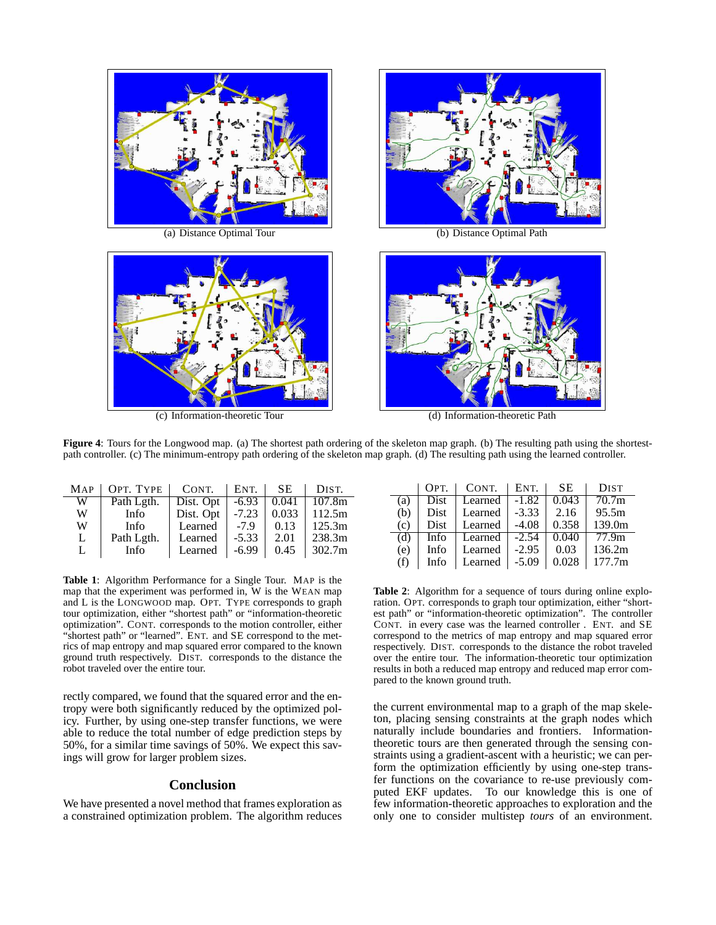



(c) Information-theoretic Tour (d) Information-theoretic Path



(a) Distance Optimal Tour (b) Distance Optimal Path



**Figure 4**: Tours for the Longwood map. (a) The shortest path ordering of the skeleton map graph. (b) The resulting path using the shortestpath controller. (c) The minimum-entropy path ordering of the skeleton map graph. (d) The resulting path using the learned controller.

| MAP | OPT. TYPE   | CONT.     | ENT.    | SE.   | DIST.  |
|-----|-------------|-----------|---------|-------|--------|
| W   | Path Lgth.  | Dist. Opt | $-6.93$ | 0.041 | 107.8m |
| W   | Info-       | Dist. Opt | $-7.23$ | 0.033 | 112.5m |
| W   | Info        | Learned   | $-7.9$  | 0.13  | 125.3m |
| L   | Path Lgth.  | Learned   | $-5.33$ | 2.01  | 238.3m |
| L   | <b>Info</b> | Learned   | $-6.99$ | 0.45  | 302.7m |

**Table 1**: Algorithm Performance for a Single Tour. MAP is the map that the experiment was performed in, W is the WEAN map and L is the LONGWOOD map. OPT. TYPE corresponds to graph tour optimization, either "shortest path" or "information-theoretic optimization". CONT. corresponds to the motion controller, either "shortest path" or "learned". ENT. and SE correspond to the metrics of map entropy and map squared error compared to the known ground truth respectively. DIST. corresponds to the distance the robot traveled over the entire tour.

rectly compared, we found that the squared error and the entropy were both significantly reduced by the optimized policy. Further, by using one-step transfer functions, we were able to reduce the total number of edge prediction steps by 50%, for a similar time savings of 50%. We expect this savings will grow for larger problem sizes.

# **Conclusion**

We have presented a novel method that frames exploration as a constrained optimization problem. The algorithm reduces

|     | OPT.        | CONT.   | ENT.    | <b>SE</b> | <b>DIST</b>       |
|-----|-------------|---------|---------|-----------|-------------------|
| (a) | <b>Dist</b> | Learned | $-1.82$ | 0.043     | 70.7 <sub>m</sub> |
| (b) | <b>Dist</b> | Learned | $-3.33$ | 2.16      | 95.5m             |
| (c) | <b>Dist</b> | Learned | $-4.08$ | 0.358     | 139.0m            |
| (d) | Info        | Learned | $-2.54$ | 0.040     | 77.9 <sub>m</sub> |
| (e) | Info        | Learned | $-2.95$ | 0.03      | 136.2m            |
| (f) | Info        | Learned | $-5.09$ | 0.028     | 177.7m            |

**Table 2**: Algorithm for a sequence of tours during online exploration. OPT. corresponds to graph tour optimization, either "shortest path" or "information-theoretic optimization". The controller CONT. in every case was the learned controller . ENT. and SE correspond to the metrics of map entropy and map squared error respectively. DIST. corresponds to the distance the robot traveled over the entire tour. The information-theoretic tour optimization results in both a reduced map entropy and reduced map error compared to the known ground truth.

the current environmental map to a graph of the map skeleton, placing sensing constraints at the graph nodes which naturally include boundaries and frontiers. Informationtheoretic tours are then generated through the sensing constraints using a gradient-ascent with a heuristic; we can perform the optimization efficiently by using one-step transfer functions on the covariance to re-use previously computed EKF updates. To our knowledge this is one of few information-theoretic approaches to exploration and the only one to consider multistep *tours* of an environment.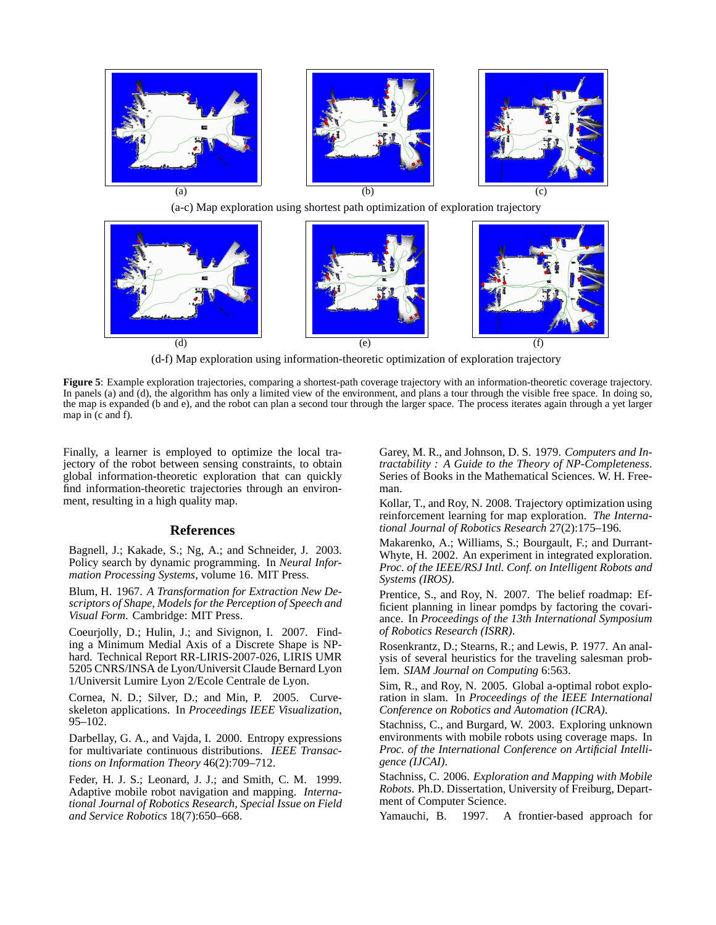



(d-f) Map exploration using information-theoretic optimization of exploration trajectory

**Figure 5**: Example exploration trajectories, comparing a shortest-path coverage trajectory with an information-theoretic coverage trajectory. In panels (a) and (d), the algorithm has only a limited view of the environment, and plans a tour through the visible free space. In doing so, the map is expanded (b and e), and the robot can plan a second tour through the larger space. The process iterates again through a yet larger map in (c and f).

Finally, a learner is employed to optimize the local trajectory of the robot between sensing constraints, to obtain global information-theoretic exploration that can quickly find information-theoretic trajectories through an environment, resulting in a high quality map.

## **References**

Bagnell, J.; Kakade, S.; Ng, A.; and Schneider, J. 2003. Policy search by dynamic programming. In *Neural Information Processing Systems*, volume 16. MIT Press.

Blum, H. 1967. *A Transformation for Extraction New Descriptors of Shape, Models for the Perception of Speech and Visual Form*. Cambridge: MIT Press.

Coeurjolly, D.; Hulin, J.; and Sivignon, I. 2007. Finding a Minimum Medial Axis of a Discrete Shape is NPhard. Technical Report RR-LIRIS-2007-026, LIRIS UMR 5205 CNRS/INSA de Lyon/Universit Claude Bernard Lyon 1/Universit Lumire Lyon 2/Ecole Centrale de Lyon.

Cornea, N. D.; Silver, D.; and Min, P. 2005. Curveskeleton applications. In *Proceedings IEEE Visualization*, 95–102.

Darbellay, G. A., and Vajda, I. 2000. Entropy expressions for multivariate continuous distributions. *IEEE Transactions on Information Theory* 46(2):709–712.

Feder, H. J. S.; Leonard, J. J.; and Smith, C. M. 1999. Adaptive mobile robot navigation and mapping. *International Journal of Robotics Research, Special Issue on Field and Service Robotics* 18(7):650–668.

Garey, M. R., and Johnson, D. S. 1979. *Computers and Intractability : A Guide to the Theory of NP-Completeness*. Series of Books in the Mathematical Sciences. W. H. Freeman.

Kollar, T., and Roy, N. 2008. Trajectory optimization using reinforcement learning for map exploration. *The International Journal of Robotics Research* 27(2):175–196.

Makarenko, A.; Williams, S.; Bourgault, F.; and Durrant-Whyte, H. 2002. An experiment in integrated exploration. *Proc. of the IEEE/RSJ Intl. Conf. on Intelligent Robots and Systems (IROS)*.

Prentice, S., and Roy, N. 2007. The belief roadmap: Efficient planning in linear pomdps by factoring the covariance. In *Proceedings of the 13th International Symposium of Robotics Research (ISRR)*.

Rosenkrantz, D.; Stearns, R.; and Lewis, P. 1977. An analysis of several heuristics for the traveling salesman problem. *SIAM Journal on Computing* 6:563.

Sim, R., and Roy, N. 2005. Global a-optimal robot exploration in slam. In *Proceedings of the IEEE International Conference on Robotics and Automation (ICRA)*.

Stachniss, C., and Burgard, W. 2003. Exploring unknown environments with mobile robots using coverage maps. In *Proc. of the International Conference on Artificial Intelligence (IJCAI)*.

Stachniss, C. 2006. *Exploration and Mapping with Mobile Robots*. Ph.D. Dissertation, University of Freiburg, Department of Computer Science.

Yamauchi, B. 1997. A frontier-based approach for